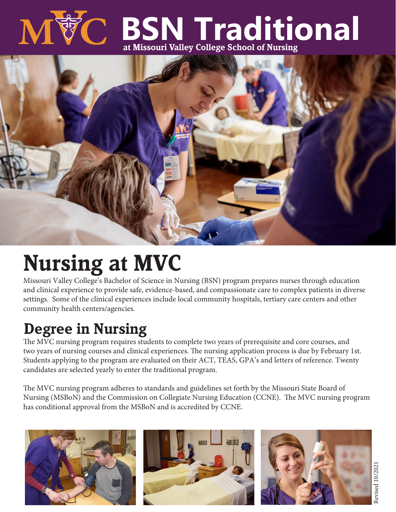

# **BSN Traditional at Missouri Valley College School of Nursing**



## **Nursing at MVC**

Missouri Valley College's Bachelor of Science in Nursing (BSN) program prepares nurses through education and clinical experience to provide safe, evidence-based, and compassionate care to complex patients in diverse settings. Some of the clinical experiences include local community hospitals, tertiary care centers and other community health centers/agencies.

### **Degree in Nursing**

The MVC nursing program requires students to complete two years of prerequisite and core courses, and two years of nursing courses and clinical experiences. The nursing application process is due by February 1st. Students applying to the program are evaluated on their ACT, TEAS, GPA's and letters of reference. Twenty candidates are selected yearly to enter the traditional program.

The MVC nursing program adheres to standards and guidelines set forth by the Missouri State Board of Nursing (MSBoN) and the Commission on Collegiate Nursing Education (CCNE). The MVC nursing program has conditional approval from the MSBoN and is accredited by CCNE.